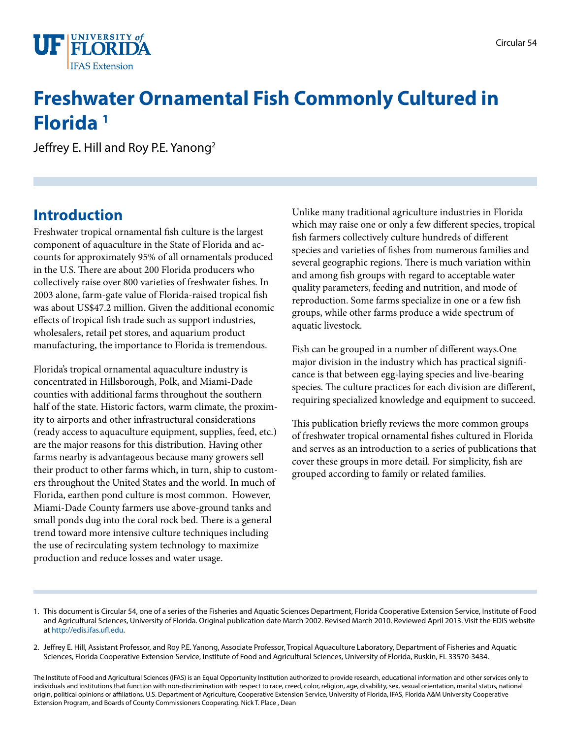

# **Freshwater Ornamental Fish Commonly Cultured in Florida 1**

Jeffrey E. Hill and Roy P.E. Yanong<sup>2</sup>

### **Introduction**

Freshwater tropical ornamental fish culture is the largest component of aquaculture in the State of Florida and accounts for approximately 95% of all ornamentals produced in the U.S. There are about 200 Florida producers who collectively raise over 800 varieties of freshwater fishes. In 2003 alone, farm-gate value of Florida-raised tropical fish was about US\$47.2 million. Given the additional economic effects of tropical fish trade such as support industries, wholesalers, retail pet stores, and aquarium product manufacturing, the importance to Florida is tremendous.

Florida's tropical ornamental aquaculture industry is concentrated in Hillsborough, Polk, and Miami-Dade counties with additional farms throughout the southern half of the state. Historic factors, warm climate, the proximity to airports and other infrastructural considerations (ready access to aquaculture equipment, supplies, feed, etc.) are the major reasons for this distribution. Having other farms nearby is advantageous because many growers sell their product to other farms which, in turn, ship to customers throughout the United States and the world. In much of Florida, earthen pond culture is most common. However, Miami-Dade County farmers use above-ground tanks and small ponds dug into the coral rock bed. There is a general trend toward more intensive culture techniques including the use of recirculating system technology to maximize production and reduce losses and water usage.

Unlike many traditional agriculture industries in Florida which may raise one or only a few different species, tropical fish farmers collectively culture hundreds of different species and varieties of fishes from numerous families and several geographic regions. There is much variation within and among fish groups with regard to acceptable water quality parameters, feeding and nutrition, and mode of reproduction. Some farms specialize in one or a few fish groups, while other farms produce a wide spectrum of aquatic livestock.

Fish can be grouped in a number of different ways.One major division in the industry which has practical significance is that between egg-laying species and live-bearing species. The culture practices for each division are different, requiring specialized knowledge and equipment to succeed.

This publication briefly reviews the more common groups of freshwater tropical ornamental fishes cultured in Florida and serves as an introduction to a series of publications that cover these groups in more detail. For simplicity, fish are grouped according to family or related families.

- 1. This document is Circular 54, one of a series of the Fisheries and Aquatic Sciences Department, Florida Cooperative Extension Service, Institute of Food and Agricultural Sciences, University of Florida. Original publication date March 2002. Revised March 2010. Reviewed April 2013. Visit the EDIS website at<http://edis.ifas.ufl.edu>.
- 2. Jeffrey E. Hill, Assistant Professor, and Roy P.E. Yanong, Associate Professor, Tropical Aquaculture Laboratory, Department of Fisheries and Aquatic Sciences, Florida Cooperative Extension Service, Institute of Food and Agricultural Sciences, University of Florida, Ruskin, FL 33570-3434.

The Institute of Food and Agricultural Sciences (IFAS) is an Equal Opportunity Institution authorized to provide research, educational information and other services only to individuals and institutions that function with non-discrimination with respect to race, creed, color, religion, age, disability, sex, sexual orientation, marital status, national origin, political opinions or affiliations. U.S. Department of Agriculture, Cooperative Extension Service, University of Florida, IFAS, Florida A&M University Cooperative Extension Program, and Boards of County Commissioners Cooperating. Nick T. Place , Dean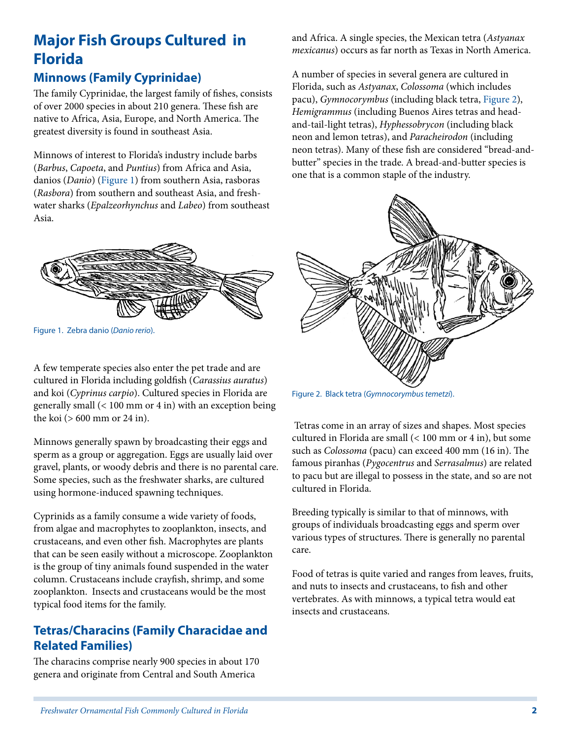# **Major Fish Groups Cultured in Florida**

#### **Minnows (Family Cyprinidae)**

The family Cyprinidae, the largest family of fishes, consists of over 2000 species in about 210 genera. These fish are native to Africa, Asia, Europe, and North America. The greatest diversity is found in southeast Asia.

Minnows of interest to Florida's industry include barbs (*Barbus*, *Capoeta*, and *Puntius*) from Africa and Asia, danios (*Danio*) (Figure 1) from s[outhern](FIGURE_1) Asia, rasboras (*Rasbora*) from southern and southeast Asia, and freshwater sharks (*Epalzeorhynchus* and *Labeo*) from southeast Asia.



Figure 1. Zebra danio (D*anio rerio*).

A few temperate species also enter the pet trade and are cultured in Florida including goldfish (*Carassius auratus*) and koi (*Cyprinus carpio*). Cultured species in Florida are generally small (< 100 mm or 4 in) with an exception being the koi (> 600 mm or 24 in).

Minnows generally spawn by broadcasting their eggs and sperm as a group or aggregation. Eggs are usually laid over gravel, plants, or woody debris and there is no parental care. Some species, such as the freshwater sharks, are cultured using hormone-induced spawning techniques.

Cyprinids as a family consume a wide variety of foods, from algae and macrophytes to zooplankton, insects, and crustaceans, and even other fish. Macrophytes are plants that can be seen easily without a microscope. Zooplankton is the group of tiny animals found suspended in the water column. Crustaceans include crayfish, shrimp, and some zooplankton. Insects and crustaceans would be the most typical food items for the family.

#### **Tetras/Characins (Family Characidae and Related Families)**

The characins comprise nearly 900 species in about 170 genera and originate from Central and South America

and Africa. A single species, the Mexican tetra (*Astyanax mexicanus*) occurs as far north as Texas in North America.

A number of species in several genera are cultured in Florida, such as *Astyanax*, *Colossoma* (which includes pacu), *Gymnocorymbus* (including black tetra, [Figure 2](FIGURE_2)), *Hemigrammus* (including Buenos Aires tetras and headand-tail-light tetras), *Hyphessobrycon* (including black neon and lemon tetras), and *Paracheirodon* (including neon tetras). Many of these fish are considered "bread-andbutter" species in the trade. A bread-and-butter species is one that is a common staple of the industry.



Figure 2. Black tetra (*Gymnocorymbus temetzi*).

 Tetras come in an array of sizes and shapes. Most species cultured in Florida are small (< 100 mm or 4 in), but some such as *Colossoma* (pacu) can exceed 400 mm (16 in). The famous piranhas (*Pygocentrus* and *Serrasalmus*) are related to pacu but are illegal to possess in the state, and so are not cultured in Florida.

Breeding typically is similar to that of minnows, with groups of individuals broadcasting eggs and sperm over various types of structures. There is generally no parental care.

Food of tetras is quite varied and ranges from leaves, fruits, and nuts to insects and crustaceans, to fish and other vertebrates. As with minnows, a typical tetra would eat insects and crustaceans.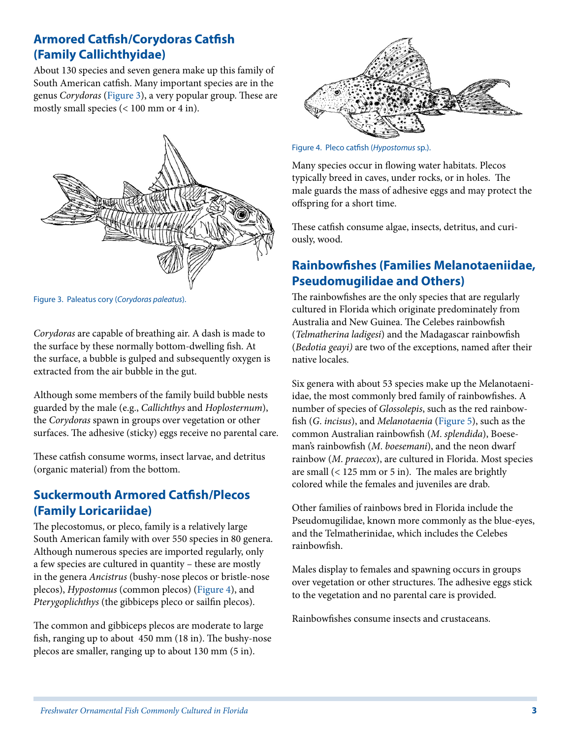#### **Armored Catfish/Corydoras Catfish (Family Callichthyidae)**

About 130 species and seven genera make up this family of South American catfish. Many important species are in the genus *Corydoras* ([Figure 3\)](FIGURE_3), a very popular group. These are mostly small species (< 100 mm or 4 in).



Figure 3. Paleatus cory (*Corydoras paleatus*).

*Corydoras* are capable of breathing air. A dash is made to the surface by these normally bottom-dwelling fish. At the surface, a bubble is gulped and subsequently oxygen is extracted from the air bubble in the gut.

Although some members of the family build bubble nests guarded by the male (e.g., *Callichthys* and *Hoplosternum*), the *Corydoras* spawn in groups over vegetation or other surfaces. The adhesive (sticky) eggs receive no parental care.

These catfish consume worms, insect larvae, and detritus (organic material) from the bottom.

#### **Suckermouth Armored Catfish/Plecos (Family Loricariidae)**

The plecostomus, or pleco, family is a relatively large South American family with over 550 species in 80 genera. Although numerous species are imported regularly, only a few species are cultured in quantity – these are mostly in the genera *Ancistrus* (bushy-nose plecos or bristle-nose plecos), *Hypostomus* (common plecos) [\(Figure 4\)](FIGURE_4), and *Pterygoplichthys* (the gibbiceps pleco or sailfin plecos).

The common and gibbiceps plecos are moderate to large fish, ranging up to about 450 mm (18 in). The bushy-nose plecos are smaller, ranging up to about 130 mm (5 in).



Figure 4. Pleco catfish (*Hypostomus* sp.).

Many species occur in flowing water habitats. Plecos typically breed in caves, under rocks, or in holes. The male guards the mass of adhesive eggs and may protect the offspring for a short time.

These catfish consume algae, insects, detritus, and curiously, wood.

#### **Rainbowfishes (Families Melanotaeniidae, Pseudomugilidae and Others)**

The rainbowfishes are the only species that are regularly cultured in Florida which originate predominately from Australia and New Guinea. The Celebes rainbowfish (*Telmatherina ladigesi*) and the Madagascar rainbowfish (*Bedotia geayi)* are two of the exceptions, named after their native locales.

Six genera with about 53 species make up the Melanotaeniidae, the most commonly bred family of rainbowfishes. A number of species of *Glossolepis*, such as the red rainbowfish (*G*. *incisus*), and *Melanotaenia* [\(Figure 5](FIGURE_5)), such as the common Australian rainbowfish (*M*. *splendida*), Boeseman's rainbowfish (*M*. *boesemani*), and the neon dwarf rainbow (*M*. *praecox*), are cultured in Florida. Most species are small (< 125 mm or 5 in). The males are brightly colored while the females and juveniles are drab.

Other families of rainbows bred in Florida include the Pseudomugilidae, known more commonly as the blue-eyes, and the Telmatherinidae, which includes the Celebes rainbowfish.

Males display to females and spawning occurs in groups over vegetation or other structures. The adhesive eggs stick to the vegetation and no parental care is provided.

Rainbowfishes consume insects and crustaceans.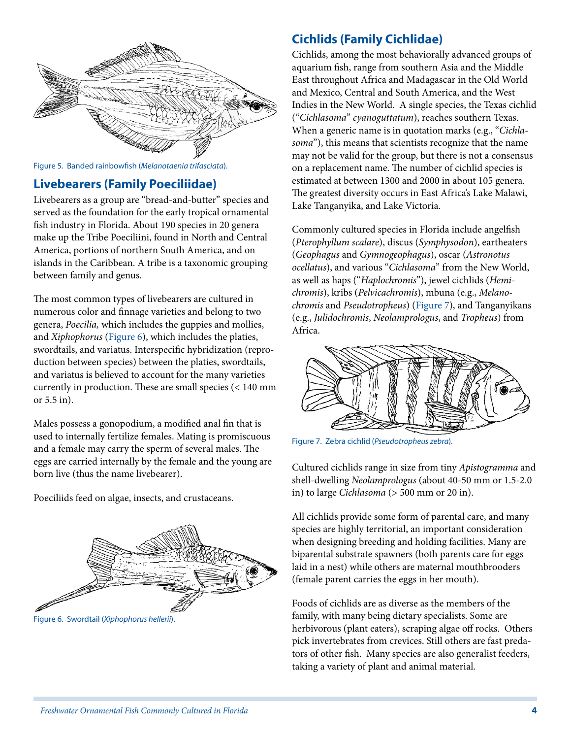

Figure 5. Banded rainbowfish (*Melanotaenia trifasciata*).

#### **Livebearers (Family Poeciliidae)**

Livebearers as a group are "bread-and-butter" species and served as the foundation for the early tropical ornamental fish industry in Florida. About 190 species in 20 genera make up the Tribe Poeciliini, found in North and Central America, portions of northern South America, and on islands in the Caribbean. A tribe is a taxonomic grouping between family and genus.

The most common types of livebearers are cultured in numerous color and finnage varieties and belong to two genera, *Poecilia,* which includes the guppies and mollies, and *Xiphophorus* [\(Figure 6\)](FIGURE_6), which includes the platies, swordtails, and variatus. Interspecific hybridization (reproduction between species) between the platies, swordtails, and variatus is believed to account for the many varieties currently in production. These are small species (< 140 mm or 5.5 in).

Males possess a gonopodium, a modified anal fin that is used to internally fertilize females. Mating is promiscuous and a female may carry the sperm of several males. The eggs are carried internally by the female and the young are born live (thus the name livebearer).

Poeciliids feed on algae, insects, and crustaceans.



Figure 6. Swordtail (*Xiphophorus hellerii*).

#### **Cichlids (Family Cichlidae)**

Cichlids, among the most behaviorally advanced groups of aquarium fish, range from southern Asia and the Middle East throughout Africa and Madagascar in the Old World and Mexico, Central and South America, and the West Indies in the New World. A single species, the Texas cichlid ("*Cichlasoma*" *cyanoguttatum*), reaches southern Texas. When a generic name is in quotation marks (e.g., "*Cichlasoma*"), this means that scientists recognize that the name may not be valid for the group, but there is not a consensus on a replacement name. The number of cichlid species is estimated at between 1300 and 2000 in about 105 genera. The greatest diversity occurs in East Africa's Lake Malawi, Lake Tanganyika, and Lake Victoria.

Commonly cultured species in Florida include angelfish (*Pterophyllum scalare*), discus (*Symphysodon*), eartheaters (*Geophagus* and *Gymnogeophagus*), oscar (*Astronotus ocellatus*), and various "*Cichlasoma*" from the New World, as well as haps ("*Haplochromis*"), jewel cichlids (*Hemichromis*), kribs (*Pelvicachromis*), mbuna (e.g., *Melanochromis* and *Pseudotropheus*) ([Figure 7\)](FIGURE_7), and Tanganyikans (e.g., *Julidochromis*, *Neolamprologus*, and *Tropheus*) from Africa.



Figure 7. Zebra cichlid (*Pseudotropheus zebra*).

Cultured cichlids range in size from tiny *Apistogramma* and shell-dwelling *Neolamprologus* (about 40-50 mm or 1.5-2.0 in) to large *Cichlasoma* (> 500 mm or 20 in).

All cichlids provide some form of parental care, and many species are highly territorial, an important consideration when designing breeding and holding facilities. Many are biparental substrate spawners (both parents care for eggs laid in a nest) while others are maternal mouthbrooders (female parent carries the eggs in her mouth).

Foods of cichlids are as diverse as the members of the family, with many being dietary specialists. Some are herbivorous (plant eaters), scraping algae off rocks. Others pick invertebrates from crevices. Still others are fast predators of other fish. Many species are also generalist feeders, taking a variety of plant and animal material.